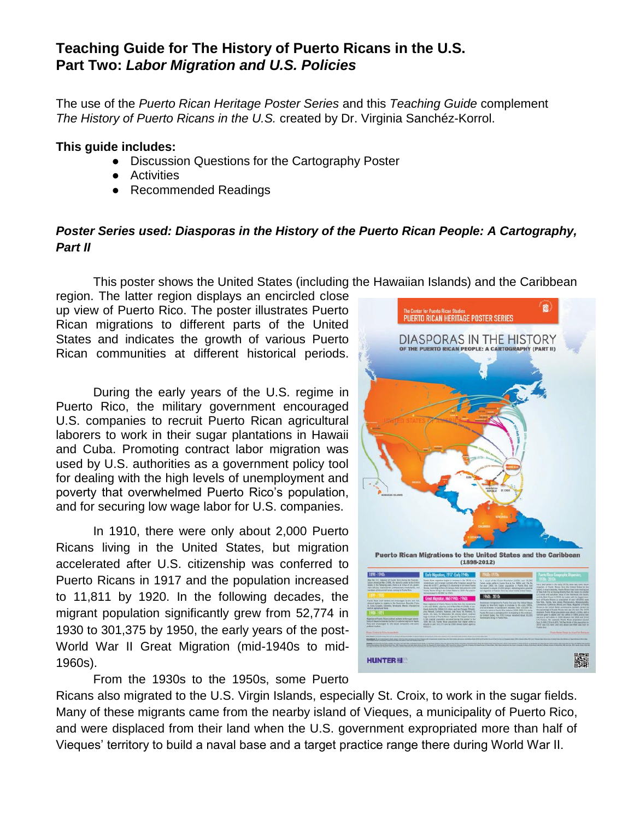## **Teaching Guide for The History of Puerto Ricans in the U.S. Part Two:** *Labor Migration and U.S. Policies*

The use of the *Puerto Rican Heritage Poster Series* and this *Teaching Guide* complement *The History of Puerto Ricans in the U.S.* created by Dr. Virginia Sanchéz-Korrol.

#### **This guide includes:**

- Discussion Questions for the Cartography Poster
- Activities
- Recommended Readings

#### *Poster Series used: Diasporas in the History of the Puerto Rican People: A Cartography, Part II*

This poster shows the United States (including the Hawaiian Islands) and the Caribbean

region. The latter region displays an encircled close up view of Puerto Rico. The poster illustrates Puerto Rican migrations to different parts of the United States and indicates the growth of various Puerto Rican communities at different historical periods.

During the early years of the U.S. regime in Puerto Rico, the military government encouraged U.S. companies to recruit Puerto Rican agricultural laborers to work in their sugar plantations in Hawaii and Cuba. Promoting contract labor migration was used by U.S. authorities as a government policy tool for dealing with the high levels of unemployment and poverty that overwhelmed Puerto Rico's population, and for securing low wage labor for U.S. companies.

In 1910, there were only about 2,000 Puerto Ricans living in the United States, but migration accelerated after U.S. citizenship was conferred to Puerto Ricans in 1917 and the population increased to 11,811 by 1920. In the following decades, the migrant population significantly grew from 52,774 in 1930 to 301,375 by 1950, the early years of the post-World War II Great Migration (mid-1940s to mid-1960s).



From the 1930s to the 1950s, some Puerto

Ricans also migrated to the U.S. Virgin Islands, especially St. Croix, to work in the sugar fields. Many of these migrants came from the nearby island of Vieques, a municipality of Puerto Rico, and were displaced from their land when the U.S. government expropriated more than half of Vieques' territory to build a naval base and a target practice range there during World War II.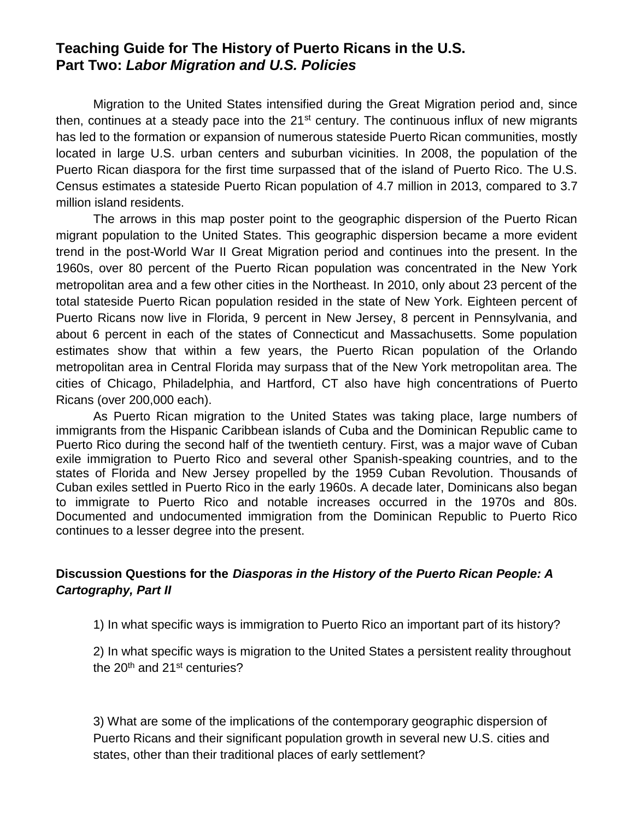## **Teaching Guide for The History of Puerto Ricans in the U.S. Part Two:** *Labor Migration and U.S. Policies*

Migration to the United States intensified during the Great Migration period and, since then, continues at a steady pace into the  $21<sup>st</sup>$  century. The continuous influx of new migrants has led to the formation or expansion of numerous stateside Puerto Rican communities, mostly located in large U.S. urban centers and suburban vicinities. In 2008, the population of the Puerto Rican diaspora for the first time surpassed that of the island of Puerto Rico. The U.S. Census estimates a stateside Puerto Rican population of 4.7 million in 2013, compared to 3.7 million island residents.

The arrows in this map poster point to the geographic dispersion of the Puerto Rican migrant population to the United States. This geographic dispersion became a more evident trend in the post-World War II Great Migration period and continues into the present. In the 1960s, over 80 percent of the Puerto Rican population was concentrated in the New York metropolitan area and a few other cities in the Northeast. In 2010, only about 23 percent of the total stateside Puerto Rican population resided in the state of New York. Eighteen percent of Puerto Ricans now live in Florida, 9 percent in New Jersey, 8 percent in Pennsylvania, and about 6 percent in each of the states of Connecticut and Massachusetts. Some population estimates show that within a few years, the Puerto Rican population of the Orlando metropolitan area in Central Florida may surpass that of the New York metropolitan area. The cities of Chicago, Philadelphia, and Hartford, CT also have high concentrations of Puerto Ricans (over 200,000 each).

As Puerto Rican migration to the United States was taking place, large numbers of immigrants from the Hispanic Caribbean islands of Cuba and the Dominican Republic came to Puerto Rico during the second half of the twentieth century. First, was a major wave of Cuban exile immigration to Puerto Rico and several other Spanish-speaking countries, and to the states of Florida and New Jersey propelled by the 1959 Cuban Revolution. Thousands of Cuban exiles settled in Puerto Rico in the early 1960s. A decade later, Dominicans also began to immigrate to Puerto Rico and notable increases occurred in the 1970s and 80s. Documented and undocumented immigration from the Dominican Republic to Puerto Rico continues to a lesser degree into the present.

### **Discussion Questions for the** *Diasporas in the History of the Puerto Rican People: A Cartography, Part II*

1) In what specific ways is immigration to Puerto Rico an important part of its history?

2) In what specific ways is migration to the United States a persistent reality throughout the 20<sup>th</sup> and 21<sup>st</sup> centuries?

3) What are some of the implications of the contemporary geographic dispersion of Puerto Ricans and their significant population growth in several new U.S. cities and states, other than their traditional places of early settlement?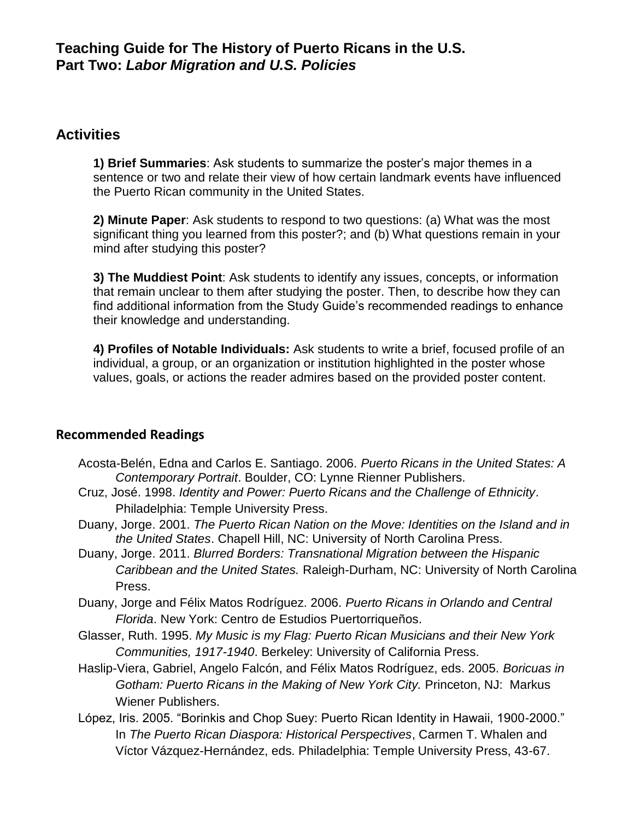## **Activities**

**1) Brief Summaries**: Ask students to summarize the poster's major themes in a sentence or two and relate their view of how certain landmark events have influenced the Puerto Rican community in the United States.

**2) Minute Paper**: Ask students to respond to two questions: (a) What was the most significant thing you learned from this poster?; and (b) What questions remain in your mind after studying this poster?

**3) The Muddiest Point**: Ask students to identify any issues, concepts, or information that remain unclear to them after studying the poster. Then, to describe how they can find additional information from the Study Guide's recommended readings to enhance their knowledge and understanding.

**4) Profiles of Notable Individuals:** Ask students to write a brief, focused profile of an individual, a group, or an organization or institution highlighted in the poster whose values, goals, or actions the reader admires based on the provided poster content.

## **Recommended Readings**

- Acosta-Belén, Edna and Carlos E. Santiago. 2006. *Puerto Ricans in the United States: A Contemporary Portrait*. Boulder, CO: Lynne Rienner Publishers.
- Cruz, José. 1998. *Identity and Power: Puerto Ricans and the Challenge of Ethnicity*. Philadelphia: Temple University Press.
- Duany, Jorge. 2001. *The Puerto Rican Nation on the Move: Identities on the Island and in the United States*. Chapell Hill, NC: University of North Carolina Press.
- Duany, Jorge. 2011. *Blurred Borders: Transnational Migration between the Hispanic Caribbean and the United States.* Raleigh-Durham, NC: University of North Carolina Press.
- Duany, Jorge and Félix Matos Rodríguez. 2006. *Puerto Ricans in Orlando and Central Florida*. New York: Centro de Estudios Puertorriqueños.
- Glasser, Ruth. 1995. *My Music is my Flag: Puerto Rican Musicians and their New York Communities, 1917-1940*. Berkeley: University of California Press.
- Haslip-Viera, Gabriel, Angelo Falcón, and Félix Matos Rodríguez, eds. 2005. *Boricuas in Gotham: Puerto Ricans in the Making of New York City.* Princeton, NJ: Markus Wiener Publishers.
- López, Iris. 2005. "Borinkis and Chop Suey: Puerto Rican Identity in Hawaii, 1900-2000." In *The Puerto Rican Diaspora: Historical Perspectives*, Carmen T. Whalen and Víctor Vázquez-Hernández, eds. Philadelphia: Temple University Press, 43-67.